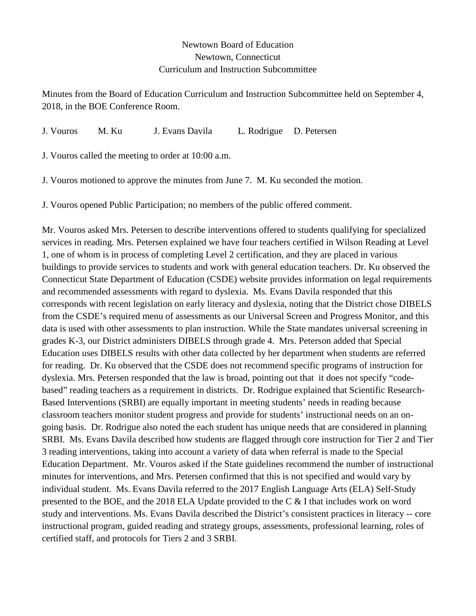## Newtown Board of Education Newtown, Connecticut Curriculum and Instruction Subcommittee

Minutes from the Board of Education Curriculum and Instruction Subcommittee held on September 4, 2018, in the BOE Conference Room.

J. Vouros M. Ku J. Evans Davila L. Rodrigue D. Petersen

J. Vouros called the meeting to order at 10:00 a.m.

J. Vouros motioned to approve the minutes from June 7. M. Ku seconded the motion.

J. Vouros opened Public Participation; no members of the public offered comment.

Mr. Vouros asked Mrs. Petersen to describe interventions offered to students qualifying for specialized services in reading. Mrs. Petersen explained we have four teachers certified in Wilson Reading at Level 1, one of whom is in process of completing Level 2 certification, and they are placed in various buildings to provide services to students and work with general education teachers. Dr. Ku observed the Connecticut State Department of Education (CSDE) website provides information on legal requirements and recommended assessments with regard to dyslexia. Ms. Evans Davila responded that this corresponds with recent legislation on early literacy and dyslexia, noting that the District chose DIBELS from the CSDE's required menu of assessments as our Universal Screen and Progress Monitor, and this data is used with other assessments to plan instruction. While the State mandates universal screening in grades K-3, our District administers DIBELS through grade 4. Mrs. Peterson added that Special Education uses DIBELS results with other data collected by her department when students are referred for reading. Dr. Ku observed that the CSDE does not recommend specific programs of instruction for dyslexia. Mrs. Petersen responded that the law is broad, pointing out that it does not specify "codebased" reading teachers as a requirement in districts. Dr. Rodrigue explained that Scientific Research-Based Interventions (SRBI) are equally important in meeting students' needs in reading because classroom teachers monitor student progress and provide for students' instructional needs on an ongoing basis. Dr. Rodrigue also noted the each student has unique needs that are considered in planning SRBI. Ms. Evans Davila described how students are flagged through core instruction for Tier 2 and Tier 3 reading interventions, taking into account a variety of data when referral is made to the Special Education Department. Mr. Vouros asked if the State guidelines recommend the number of instructional minutes for interventions, and Mrs. Petersen confirmed that this is not specified and would vary by individual student. Ms. Evans Davila referred to the 2017 English Language Arts (ELA) Self-Study presented to the BOE, and the 2018 ELA Update provided to the C & I that includes work on word study and interventions. Ms. Evans Davila described the District's consistent practices in literacy -- core instructional program, guided reading and strategy groups, assessments, professional learning, roles of certified staff, and protocols for Tiers 2 and 3 SRBI.